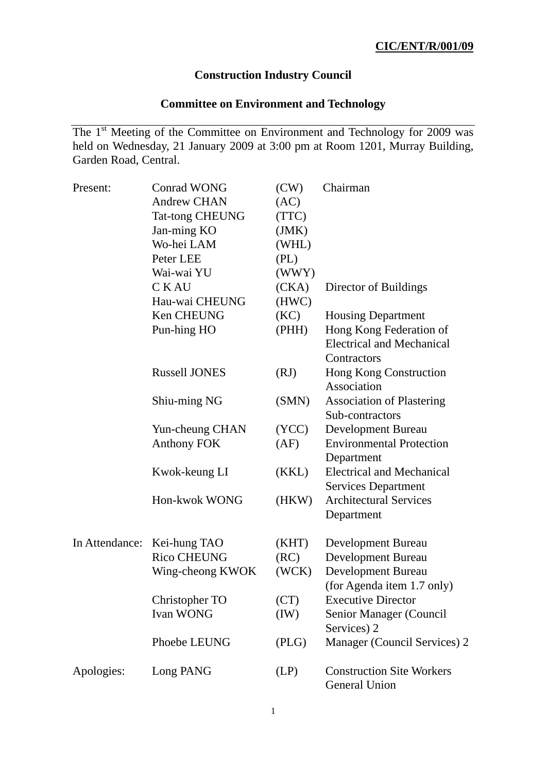## **Construction Industry Council**

## **Committee on Environment and Technology**

The 1<sup>st</sup> Meeting of the Committee on Environment and Technology for 2009 was held on Wednesday, 21 January 2009 at 3:00 pm at Room 1201, Murray Building, Garden Road, Central.

| Present:   | <b>Conrad WONG</b>          | (CW)  | Chairman                                                 |
|------------|-----------------------------|-------|----------------------------------------------------------|
|            | <b>Andrew CHAN</b>          | (AC)  |                                                          |
|            | <b>Tat-tong CHEUNG</b>      | (TTC) |                                                          |
|            | Jan-ming KO                 | (JMK) |                                                          |
|            | Wo-hei LAM                  | (WHL) |                                                          |
|            | Peter LEE                   | (PL)  |                                                          |
|            | Wai-wai YU                  | (WWY) |                                                          |
|            | <b>CKAU</b>                 | (CKA) | Director of Buildings                                    |
|            | Hau-wai CHEUNG              | (HWC) |                                                          |
|            | Ken CHEUNG                  | (KC)  | <b>Housing Department</b>                                |
|            | Pun-hing HO                 | (PHH) | Hong Kong Federation of                                  |
|            |                             |       | <b>Electrical and Mechanical</b>                         |
|            |                             |       | Contractors                                              |
|            | <b>Russell JONES</b>        | (RJ)  | Hong Kong Construction                                   |
|            |                             |       | Association                                              |
|            | Shiu-ming NG                | (SMN) | <b>Association of Plastering</b>                         |
|            |                             |       | Sub-contractors                                          |
|            | Yun-cheung CHAN             | (YCC) | Development Bureau                                       |
|            | <b>Anthony FOK</b>          | (AF)  | <b>Environmental Protection</b>                          |
|            |                             |       | Department                                               |
|            | Kwok-keung LI               | (KKL) | <b>Electrical and Mechanical</b>                         |
|            |                             |       | <b>Services Department</b>                               |
|            | Hon-kwok WONG               | (HKW) | <b>Architectural Services</b>                            |
|            |                             |       | Department                                               |
|            | In Attendance: Kei-hung TAO | (KHT) |                                                          |
|            | Rico CHEUNG                 | (RC)  | Development Bureau<br><b>Development Bureau</b>          |
|            |                             |       |                                                          |
|            | Wing-cheong KWOK            | (WCK) | <b>Development Bureau</b>                                |
|            |                             |       | (for Agenda item 1.7 only)<br><b>Executive Director</b>  |
|            | Christopher TO              | (CT)  |                                                          |
|            | <b>Ivan WONG</b>            | (IW)  | <b>Senior Manager (Council</b><br>Services) 2            |
|            | Phoebe LEUNG                | (PLG) | Manager (Council Services) 2                             |
| Apologies: | Long PANG                   | (LP)  | <b>Construction Site Workers</b><br><b>General Union</b> |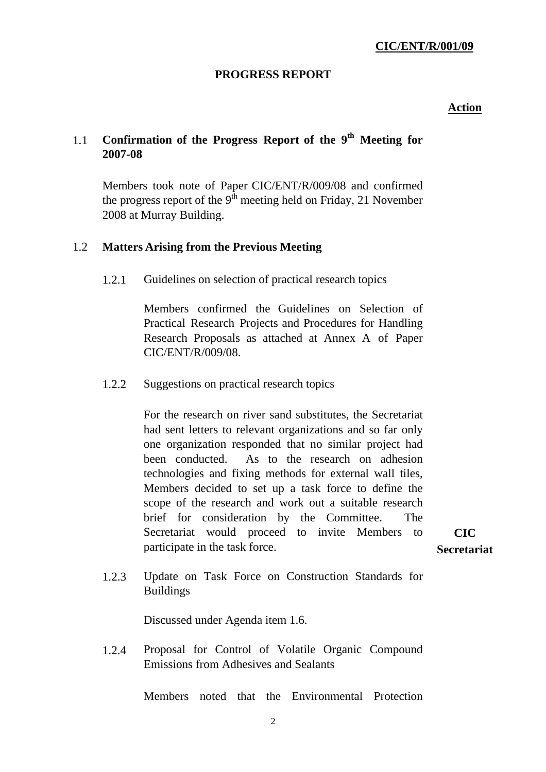## **PROGRESS REPORT**

## **Action**

# 1.1 **Confirmation of the Progress Report of the 9th Meeting for 2007-08**

Members took note of Paper CIC/ENT/R/009/08 and confirmed the progress report of the  $9<sup>th</sup>$  meeting held on Friday, 21 November 2008 at Murray Building.

## 1.2 **Matters Arising from the Previous Meeting**

1.2.1 Guidelines on selection of practical research topics

Members confirmed the Guidelines on Selection of Practical Research Projects and Procedures for Handling Research Proposals as attached at Annex A of Paper CIC/ENT/R/009/08.

1.2.2 Suggestions on practical research topics

For the research on river sand substitutes, the Secretariat had sent letters to relevant organizations and so far only one organization responded that no similar project had been conducted. As to the research on adhesion technologies and fixing methods for external wall tiles, Members decided to set up a task force to define the scope of the research and work out a suitable research brief for consideration by the Committee. The Secretariat would proceed to invite Members to participate in the task force.

**CIC Secretariat** 

1.2.3 Update on Task Force on Construction Standards for Buildings

Discussed under Agenda item 1.6.

1.2.4 Proposal for Control of Volatile Organic Compound Emissions from Adhesives and Sealants

Members noted that the Environmental Protection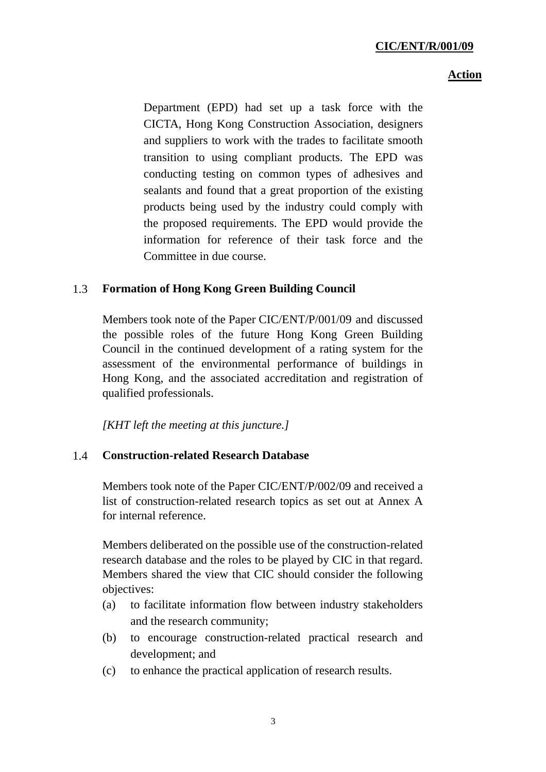#### **Action**

Department (EPD) had set up a task force with the CICTA, Hong Kong Construction Association, designers and suppliers to work with the trades to facilitate smooth transition to using compliant products. The EPD was conducting testing on common types of adhesives and sealants and found that a great proportion of the existing products being used by the industry could comply with the proposed requirements. The EPD would provide the information for reference of their task force and the Committee in due course.

## 1.3 **Formation of Hong Kong Green Building Council**

Members took note of the Paper CIC/ENT/P/001/09 and discussed the possible roles of the future Hong Kong Green Building Council in the continued development of a rating system for the assessment of the environmental performance of buildings in Hong Kong, and the associated accreditation and registration of qualified professionals.

*[KHT left the meeting at this juncture.]* 

## 1.4 **Construction-related Research Database**

Members took note of the Paper CIC/ENT/P/002/09 and received a list of construction-related research topics as set out at Annex A for internal reference.

Members deliberated on the possible use of the construction-related research database and the roles to be played by CIC in that regard. Members shared the view that CIC should consider the following objectives:

- (a) to facilitate information flow between industry stakeholders and the research community;
- (b) to encourage construction-related practical research and development; and
- (c) to enhance the practical application of research results.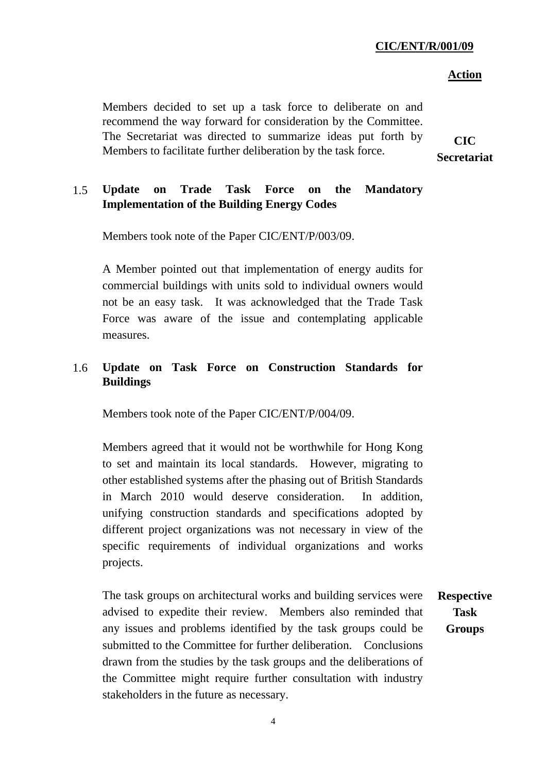### **CIC/ENT/R/001/09**

#### **Action**

Members decided to set up a task force to deliberate on and recommend the way forward for consideration by the Committee. The Secretariat was directed to summarize ideas put forth by Members to facilitate further deliberation by the task force.

**CIC Secretariat** 

**Task** 

## 1.5 **Update on Trade Task Force on the Mandatory Implementation of the Building Energy Codes**

Members took note of the Paper CIC/ENT/P/003/09.

A Member pointed out that implementation of energy audits for commercial buildings with units sold to individual owners would not be an easy task. It was acknowledged that the Trade Task Force was aware of the issue and contemplating applicable measures.

## 1.6 **Update on Task Force on Construction Standards for Buildings**

Members took note of the Paper CIC/ENT/P/004/09.

Members agreed that it would not be worthwhile for Hong Kong to set and maintain its local standards. However, migrating to other established systems after the phasing out of British Standards in March 2010 would deserve consideration. In addition, unifying construction standards and specifications adopted by different project organizations was not necessary in view of the specific requirements of individual organizations and works projects.

The task groups on architectural works and building services were advised to expedite their review. Members also reminded that any issues and problems identified by the task groups could be submitted to the Committee for further deliberation. Conclusions drawn from the studies by the task groups and the deliberations of the Committee might require further consultation with industry stakeholders in the future as necessary. **Respective Groups** 

4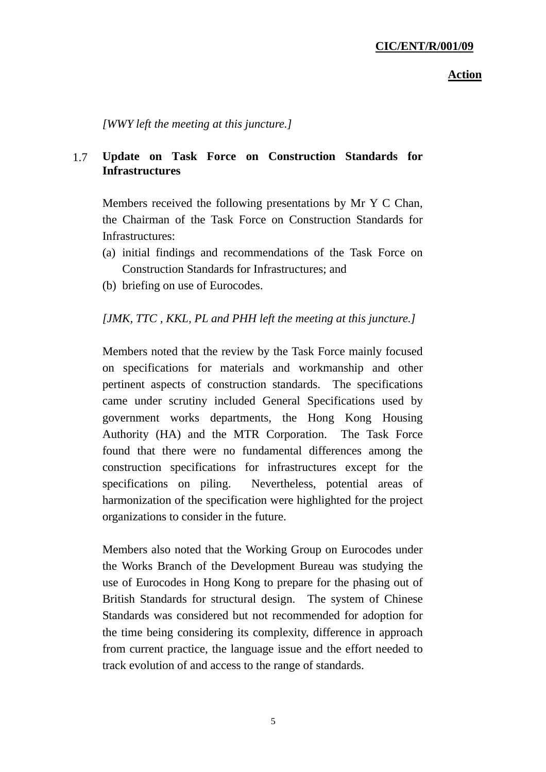#### **Action**

*[WWY left the meeting at this juncture.]* 

## 1.7 **Update on Task Force on Construction Standards for Infrastructures**

Members received the following presentations by Mr Y C Chan, the Chairman of the Task Force on Construction Standards for Infrastructures:

- (a) initial findings and recommendations of the Task Force on Construction Standards for Infrastructures; and
- (b) briefing on use of Eurocodes.

## *[JMK, TTC , KKL, PL and PHH left the meeting at this juncture.]*

Members noted that the review by the Task Force mainly focused on specifications for materials and workmanship and other pertinent aspects of construction standards. The specifications came under scrutiny included General Specifications used by government works departments, the Hong Kong Housing Authority (HA) and the MTR Corporation. The Task Force found that there were no fundamental differences among the construction specifications for infrastructures except for the specifications on piling. Nevertheless, potential areas of harmonization of the specification were highlighted for the project organizations to consider in the future.

Members also noted that the Working Group on Eurocodes under the Works Branch of the Development Bureau was studying the use of Eurocodes in Hong Kong to prepare for the phasing out of British Standards for structural design. The system of Chinese Standards was considered but not recommended for adoption for the time being considering its complexity, difference in approach from current practice, the language issue and the effort needed to track evolution of and access to the range of standards.